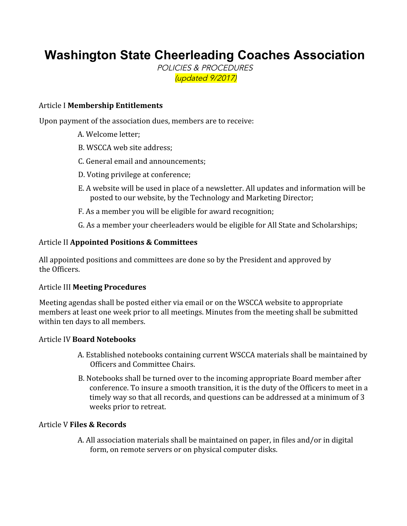# **Washington State Cheerleading Coaches Association**

POLICIES & PROCEDURES (updated 9/2017)

### Article I **Membership Entitlements**

Upon payment of the association dues, members are to receive:

- A. Welcome letter;
- B. WSCCA web site address;
- C. General email and announcements;
- D. Voting privilege at conference;
- E. A website will be used in place of a newsletter. All updates and information will be posted to our website, by the Technology and Marketing Director;
- F. As a member you will be eligible for award recognition;
- G. As a member your cheerleaders would be eligible for All State and Scholarships;

## Article II **Appointed Positions & Committees**

All appointed positions and committees are done so by the President and approved by the Officers.

#### Article III **Meeting Procedures**

Meeting agendas shall be posted either via email or on the WSCCA website to appropriate members at least one week prior to all meetings. Minutes from the meeting shall be submitted within ten days to all members.

#### Article IV **Board Notebooks**

- A. Established notebooks containing current WSCCA materials shall be maintained by Officers and Committee Chairs.
- B. Notebooks shall be turned over to the incoming appropriate Board member after conference. To insure a smooth transition, it is the duty of the Officers to meet in a timely way so that all records, and questions can be addressed at a minimum of 3 weeks prior to retreat.

#### Article V **Files & Records**

A. All association materials shall be maintained on paper, in files and/or in digital form, on remote servers or on physical computer disks.